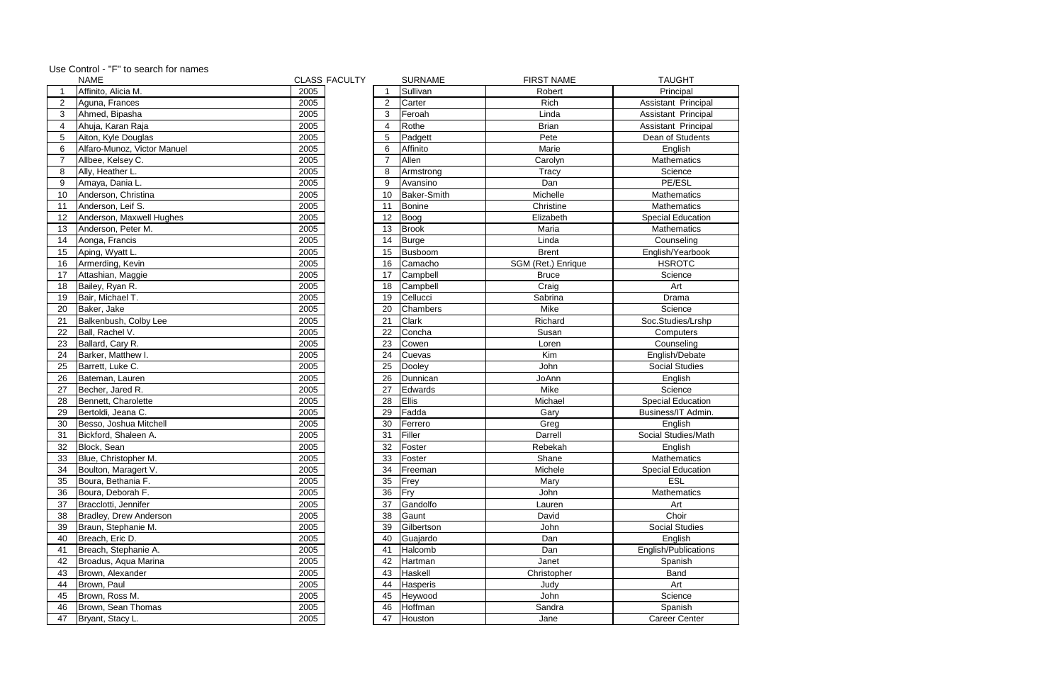|                | <b>NAME</b>                 | <b>CLASS FACULTY</b> |                | <b>SURNAME</b>     | <b>FIRST NAME</b>  | <b>TAUGHT</b>            |
|----------------|-----------------------------|----------------------|----------------|--------------------|--------------------|--------------------------|
|                | Affinito, Alicia M.         | 2005                 |                | Sullivan           | Robert             | Principal                |
| $\overline{2}$ | Aguna, Frances              | 2005                 | $\overline{2}$ | Carter             | Rich               | Assistant Principal      |
| 3              | Ahmed, Bipasha              | 2005                 | 3              | Feroah             | Linda              | Assistant Principal      |
| 4              | Ahuja, Karan Raja           | 2005                 | 4              | Rothe              | <b>Brian</b>       | Assistant Principal      |
| 5              | Aiton, Kyle Douglas         | 2005                 | 5              | Padgett            | Pete               | Dean of Students         |
| 6              | Alfaro-Munoz, Victor Manuel | 2005                 | 6              | Affinito           | Marie              | English                  |
| $\overline{7}$ | Allbee, Kelsey C.           | 2005                 | $\overline{7}$ | Allen              | Carolyn            | <b>Mathematics</b>       |
| 8              | Ally, Heather L.            | 2005                 | 8              | Armstrong          | Tracy              | Science                  |
| 9              | Amaya, Dania L.             | 2005                 | 9              | Avansino           | Dan                | PE/ESL                   |
| 10             | Anderson, Christina         | 2005                 | 10             | <b>Baker-Smith</b> | Michelle           | <b>Mathematics</b>       |
| 11             | Anderson, Leif S.           | 2005                 | 11             | <b>Bonine</b>      | Christine          | <b>Mathematics</b>       |
| 12             | Anderson, Maxwell Hughes    | 2005                 | 12             | Boog               | Elizabeth          | <b>Special Education</b> |
| 13             | Anderson, Peter M.          | 2005                 | 13             | <b>Brook</b>       | Maria              | Mathematics              |
| 14             | Aonga, Francis              | 2005                 | 14             | <b>Burge</b>       | Linda              | Counseling               |
| 15             | Aping, Wyatt L.             | 2005                 | 15             | Busboom            | <b>Brent</b>       | English/Yearbook         |
| 16             | Armerding, Kevin            | 2005                 | 16             | Camacho            | SGM (Ret.) Enrique | <b>HSROTC</b>            |
| 17             | Attashian, Maggie           | 2005                 | 17             | Campbell           | <b>Bruce</b>       | Science                  |
| 18             | Bailey, Ryan R.             | 2005                 | 18             | Campbell           | Craig              | Art                      |
| 19             | Bair, Michael T.            | 2005                 | 19             | Cellucci           | Sabrina            | Drama                    |
| 20             | Baker, Jake                 | 2005                 | 20             | Chambers           | Mike               | Science                  |
| 21             | Balkenbush, Colby Lee       | 2005                 | 21             | <b>Clark</b>       | Richard            | Soc.Studies/Lrshp        |
| 22             | Ball, Rachel V.             | 2005                 | 22             | Concha             | Susan              | Computers                |
| 23             | Ballard, Cary R.            | 2005                 | 23             | Cowen              | Loren              | Counseling               |
| 24             | Barker, Matthew I.          | 2005                 | 24             | Cuevas             | Kim                | English/Debate           |
| 25             | Barrett, Luke C.            | 2005                 | 25             | Dooley             | John               | <b>Social Studies</b>    |
| 26             | Bateman, Lauren             | 2005                 | 26             | Dunnican           | JoAnn              | English                  |
| 27             | Becher, Jared R.            | 2005                 | 27             | Edwards            | Mike               | Science                  |
| 28             | Bennett, Charolette         | 2005                 | 28             | Ellis              | Michael            | <b>Special Education</b> |
| 29             | Bertoldi, Jeana C.          | 2005                 | 29             | Fadda              | Gary               | Business/IT Admin.       |
| 30             | Besso, Joshua Mitchell      | 2005                 | 30             | Ferrero            | Greg               | English                  |
| 31             | Bickford, Shaleen A.        | 2005                 | 31             | Filler             | Darrell            | Social Studies/Math      |
| 32             | Block, Sean                 | 2005                 | 32             | Foster             | Rebekah            | English                  |
| 33             | Blue, Christopher M.        | 2005                 | 33             | Foster             | Shane              | Mathematics              |
| 34             | Boulton, Maragert V.        | 2005                 | 34             | Freeman            | Michele            | <b>Special Education</b> |
| 35             | Boura, Bethania F.          | 2005                 | 35             | Frey               | Mary               | <b>ESL</b>               |
| 36             | Boura, Deborah F.           | 2005                 | 36             | Fry                | John               | Mathematics              |
| 37             | Bracclotti, Jennifer        | 2005                 | 37             | Gandolfo           | Lauren             | Art                      |
| 38             | Bradley, Drew Anderson      | 2005                 | 38             | Gaunt              | David              | Choir                    |
| 39             | Braun, Stephanie M.         | 2005                 | 39             | Gilbertson         | John               | <b>Social Studies</b>    |
| 40             | Breach, Eric D.             | 2005                 | 40             | Guajardo           | Dan                | English                  |
| 41             | Breach, Stephanie A.        | 2005                 | 41             | Halcomb            | Dan                | English/Publications     |
| 42             | Broadus, Aqua Marina        | 2005                 | 42             | Hartman            | Janet              | Spanish                  |
| 43             | Brown, Alexander            | 2005                 | 43             | Haskell            | Christopher        | Band                     |
| 44             | Brown, Paul                 | 2005                 | 44             | Hasperis           | Judy               | Art                      |
| 45             | Brown, Ross M.              | 2005                 | 45             | Heywood            | John               | Science                  |
| 46             | Brown, Sean Thomas          | 2005                 | 46             | Hoffman            | Sandra             | Spanish                  |
| 47             | Bryant, Stacy L.            | 2005                 | 47             | Houston            | Jane               | <b>Career Center</b>     |
|                |                             |                      |                |                    |                    |                          |

| Use Control - "F" to search for names |  |
|---------------------------------------|--|
|---------------------------------------|--|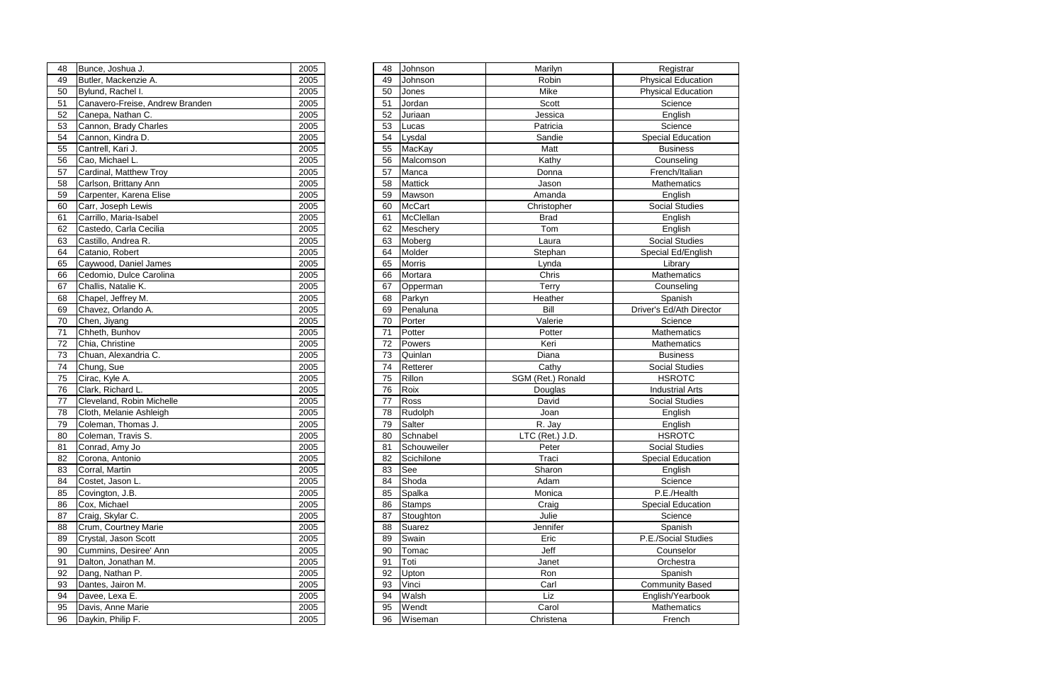| 48 | Bunce, Joshua J.                | 2005 |
|----|---------------------------------|------|
| 49 | Butler, Mackenzie A.            | 2005 |
| 50 | Bylund, Rachel I.               | 2005 |
| 51 | Canavero-Freise, Andrew Branden | 2005 |
| 52 | Canepa, Nathan C.               | 2005 |
| 53 | Cannon, Brady Charles           | 2005 |
| 54 | Cannon, Kindra D.               | 2005 |
| 55 | Cantrell, Kari J.               | 2005 |
| 56 | Cao, Michael L.                 | 2005 |
| 57 | Cardinal, Matthew Troy          | 2005 |
| 58 | Carlson, Brittany Ann           | 2005 |
| 59 | Carpenter, Karena Elise         | 2005 |
| 60 | Carr, Joseph Lewis              | 2005 |
| 61 | Carrillo, Maria-Isabel          | 2005 |
| 62 | Castedo, Carla Cecilia          | 2005 |
| 63 | Castillo, Andrea R.             | 2005 |
| 64 | Catanio, Robert                 | 2005 |
| 65 | Caywood, Daniel James           | 2005 |
| 66 | Cedomio, Dulce Carolina         | 2005 |
| 67 | Challis, Natalie K.             | 2005 |
| 68 | Chapel, Jeffrey M.              | 2005 |
| 69 | Chavez, Orlando A.              | 2005 |
| 70 | Chen, Jiyang                    | 2005 |
| 71 | Chheth, Bunhov                  | 2005 |
| 72 | Chia, Christine                 | 2005 |
| 73 | Chuan, Alexandria C.            | 2005 |
| 74 | Chung, Sue                      | 2005 |
| 75 | Cirac, Kyle A.                  | 2005 |
| 76 | Clark, Richard L.               | 2005 |
| 77 | Cleveland, Robin Michelle       | 2005 |
| 78 | Cloth, Melanie Ashleigh         | 2005 |
| 79 | Coleman, Thomas J.              | 2005 |
| 80 | Coleman, Travis S.              | 2005 |
| 81 | Conrad, Amy Jo                  | 2005 |
| 82 | Corona, Antonio                 | 2005 |
| 83 | Corral, Martin                  | 2005 |
| 84 | Costet, Jason L.                | 2005 |
| 85 | Covington, J.B.                 | 2005 |
| 86 | Cox, Michael                    | 2005 |
| 87 | Craig, Skylar C.                | 2005 |
| 88 | Crum, Courtney Marie            | 2005 |
| 89 | Crystal, Jason Scott            | 2005 |
| 90 | Cummins, Desiree' Ann           | 2005 |
| 91 | Dalton, Jonathan M.             | 2005 |
| 92 | Dang, Nathan P.                 | 2005 |
| 93 | Dantes, Jairon M.               | 2005 |
| 94 | Davee, Lexa E.                  | 2005 |
| 95 | Davis, Anne Marie               | 2005 |
| 96 | Daykin, Philip F.               | 2005 |
|    |                                 |      |

| 48 | Bunce, Joshua J.                | 2005 | 48 | Johnson        | Marilyn           | Registrar                 |
|----|---------------------------------|------|----|----------------|-------------------|---------------------------|
| 49 | Butler, Mackenzie A.            | 2005 | 49 | Johnson        | Robin             | <b>Physical Education</b> |
| 50 | Bylund, Rachel I.               | 2005 | 50 | Jones          | Mike              | <b>Physical Education</b> |
| 51 | Canavero-Freise, Andrew Branden | 2005 | 51 | Jordan         | Scott             | Science                   |
| 52 | Canepa, Nathan C.               | 2005 | 52 | Juriaan        | Jessica           | English                   |
| 53 | Cannon, Brady Charles           | 2005 | 53 | Lucas          | Patricia          | Science                   |
| 54 | Cannon, Kindra D.               | 2005 | 54 | Lysdal         | Sandie            | <b>Special Education</b>  |
| 55 | Cantrell, Kari J.               | 2005 | 55 | MacKay         | Matt              | <b>Business</b>           |
| 56 | Cao, Michael L.                 | 2005 | 56 | Malcomson      | Kathy             | Counseling                |
| 57 | Cardinal, Matthew Troy          | 2005 | 57 | Manca          | Donna             | French/Italian            |
| 58 | Carlson, Brittany Ann           | 2005 | 58 | <b>Mattick</b> | Jason             | <b>Mathematics</b>        |
| 59 | Carpenter, Karena Elise         | 2005 | 59 | Mawson         | Amanda            | English                   |
| 60 | Carr, Joseph Lewis              | 2005 | 60 | <b>McCart</b>  | Christopher       | <b>Social Studies</b>     |
| 61 | Carrillo, Maria-Isabel          | 2005 | 61 | McClellan      | <b>Brad</b>       | English                   |
| 62 | Castedo, Carla Cecilia          | 2005 | 62 | Meschery       | Tom               | English                   |
| 63 | Castillo, Andrea R.             | 2005 | 63 | Moberg         | Laura             | <b>Social Studies</b>     |
| 64 | Catanio, Robert                 | 2005 | 64 | Molder         | Stephan           | Special Ed/English        |
| 65 | Caywood, Daniel James           | 2005 | 65 | <b>Morris</b>  | Lynda             | Library                   |
| 66 | Cedomio, Dulce Carolina         | 2005 | 66 | Mortara        | Chris             | <b>Mathematics</b>        |
| 67 | Challis, Natalie K.             | 2005 | 67 | Opperman       | Terry             | Counseling                |
| 68 | Chapel, Jeffrey M.              | 2005 | 68 | Parkyn         | Heather           | Spanish                   |
| 69 | Chavez, Orlando A.              | 2005 | 69 | Penaluna       | Bill              | Driver's Ed/Ath Director  |
| 70 | Chen, Jiyang                    | 2005 | 70 | Porter         | Valerie           | Science                   |
| 71 | Chheth, Bunhov                  | 2005 | 71 | Potter         | Potter            | Mathematics               |
| 72 | Chia, Christine                 | 2005 | 72 | Powers         | Keri              | <b>Mathematics</b>        |
| 73 | Chuan, Alexandria C.            | 2005 | 73 | Quinlan        | Diana             | <b>Business</b>           |
| 74 | Chung, Sue                      | 2005 | 74 | Retterer       | Cathy             | <b>Social Studies</b>     |
| 75 | Cirac, Kyle A.                  | 2005 | 75 | Rillon         | SGM (Ret.) Ronald | <b>HSROTC</b>             |
| 76 | Clark, Richard L.               | 2005 | 76 | Roix           | Douglas           | <b>Industrial Arts</b>    |
| 77 | Cleveland, Robin Michelle       | 2005 | 77 | Ross           | David             | <b>Social Studies</b>     |
| 78 | Cloth, Melanie Ashleigh         | 2005 | 78 | Rudolph        | Joan              | English                   |
| 79 | Coleman, Thomas J.              | 2005 | 79 | Salter         | R. Jay            | English                   |
| 80 | Coleman, Travis S.              | 2005 | 80 | Schnabel       | LTC (Ret.) J.D.   | <b>HSROTC</b>             |
| 81 | Conrad, Amy Jo                  | 2005 | 81 | Schouweiler    | Peter             | <b>Social Studies</b>     |
| 82 | Corona, Antonio                 | 2005 | 82 | Scichilone     | Traci             | <b>Special Education</b>  |
| 83 | Corral, Martin                  | 2005 | 83 | See            | Sharon            | English                   |
| 84 | Costet, Jason L.                | 2005 | 84 | Shoda          | Adam              | Science                   |
| 85 | Covington, J.B.                 | 2005 | 85 | Spalka         | Monica            | P.E./Health               |
| 86 | Cox, Michael                    | 2005 | 86 | <b>Stamps</b>  | Craig             | <b>Special Education</b>  |
| 87 | Craig, Skylar C.                | 2005 | 87 | Stoughton      | Julie             | Science                   |
| 88 | Crum, Courtney Marie            | 2005 | 88 | Suarez         | Jennifer          | Spanish                   |
| 89 | Crystal, Jason Scott            | 2005 | 89 | Swain          | Eric              | P.E./Social Studies       |
| 90 | Cummins, Desiree' Ann           | 2005 | 90 | Tomac          | Jeff              | Counselor                 |
| 91 | Dalton, Jonathan M.             | 2005 | 91 | Toti           | Janet             | Orchestra                 |
| 92 | Dang, Nathan P.                 | 2005 | 92 | Upton          | Ron               | Spanish                   |
| 93 | Dantes, Jairon M.               | 2005 | 93 | Vinci          | Carl              | <b>Community Based</b>    |
| 94 | Davee, Lexa E.                  | 2005 | 94 | Walsh          | Liz               | English/Yearbook          |
| 95 | Davis, Anne Marie               | 2005 | 95 | Wendt          | Carol             | Mathematics               |
| 96 | Daykin, Philip F.               | 2005 | 96 | Wiseman        | Christena         | French                    |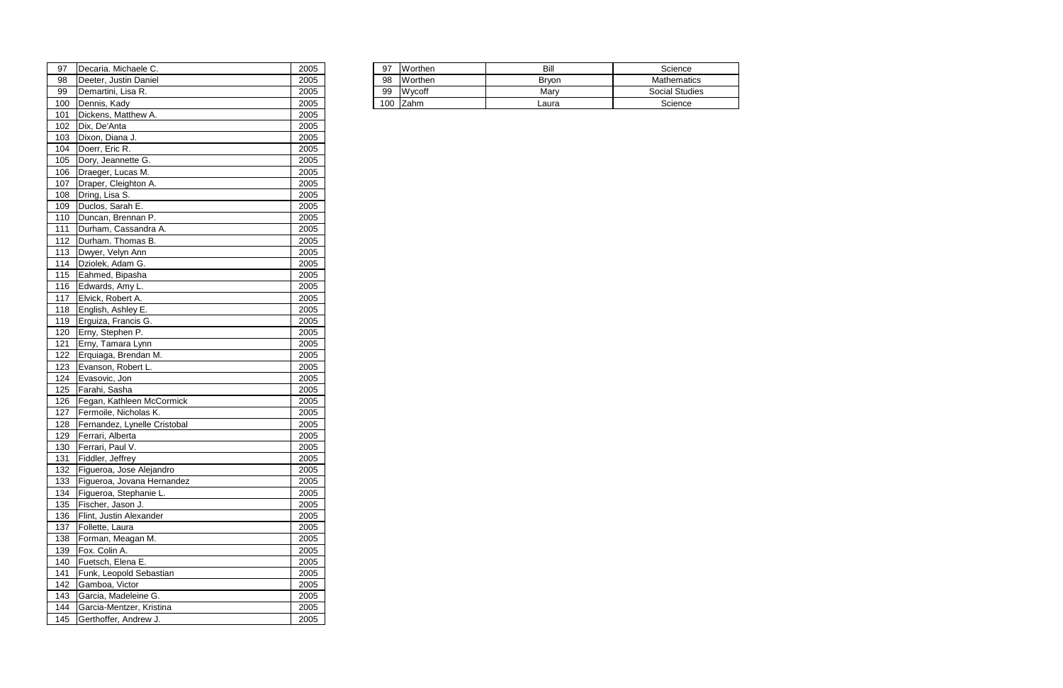| 97  | Michaele C.<br>Decaria.        | 2005 | 97  | Worthen      | Bill  | Science            |
|-----|--------------------------------|------|-----|--------------|-------|--------------------|
| 98  | <b>Justin Daniel</b><br>Deeter | 2005 | 98  | Worthen      | Bryon | <b>Mathematics</b> |
| 99  | IDemartini, Lisa R.            | 2005 | 99  | Wycoff       | Marv  | Social Studies     |
| 100 | <b>IDennis, Kadv</b>           | 2005 | 100 | <b>IZahm</b> | ∟aura | Science            |

| 97  | Decaria. Michaele C.         | 2005 |
|-----|------------------------------|------|
| 98  | Deeter, Justin Daniel        | 2005 |
| 99  | Demartini, Lisa R.           | 2005 |
| 100 | Dennis, Kady                 | 2005 |
| 101 | Dickens, Matthew A.          | 2005 |
| 102 | Dix, De'Anta                 | 2005 |
| 103 | Dixon, Diana J.              | 2005 |
| 104 | Doerr, Eric R.               | 2005 |
| 105 | Dory, Jeannette G.           | 2005 |
| 106 | Draeger, Lucas M.            | 2005 |
| 107 | Draper, Cleighton A.         | 2005 |
| 108 | Dring, Lisa S.               | 2005 |
| 109 | Duclos, Sarah E.             | 2005 |
| 110 | Duncan, Brennan P.           | 2005 |
| 111 | Durham, Cassandra A.         | 2005 |
| 112 | Durham. Thomas B.            | 2005 |
| 113 | Dwyer, Velyn Ann             | 2005 |
| 114 | Dziolek, Adam G.             | 2005 |
| 115 | Eahmed, Bipasha              | 2005 |
| 116 | Edwards, Amy L.              | 2005 |
| 117 | Elvick, Robert A.            | 2005 |
| 118 | English, Ashley E.           | 2005 |
| 119 | Erguiza, Francis G.          | 2005 |
| 120 | Erny, Stephen P.             | 2005 |
| 121 | Erny, Tamara Lynn            | 2005 |
| 122 | Erquiaga, Brendan M.         | 2005 |
| 123 | Evanson, Robert L.           | 2005 |
| 124 | Evasovic, Jon                | 2005 |
| 125 | Farahi, Sasha                | 2005 |
| 126 | Fegan, Kathleen McCormick    | 2005 |
| 127 | Fermoile, Nicholas K.        | 2005 |
| 128 | Fernandez, Lynelle Cristobal | 2005 |
| 129 | Ferrari, Alberta             | 2005 |
| 130 | Ferrari, Paul V.             | 2005 |
| 131 | Fiddler, Jeffrey             | 2005 |
| 132 | Figueroa, Jose Alejandro     | 2005 |
| 133 | Figueroa, Jovana Hernandez   | 2005 |
| 134 | Figueroa, Stephanie L.       | 2005 |
| 135 | Fischer, Jason J.            | 2005 |
| 136 | Flint, Justin Alexander      | 2005 |
| 137 | Follette, Laura              | 2005 |
| 138 | Forman, Meagan M.            | 2005 |
| 139 | Fox. Colin A.                | 2005 |
| 140 | Fuetsch, Elena E.            | 2005 |
| 141 | Funk, Leopold Sebastian      | 2005 |
| 142 | Gamboa, Victor               | 2005 |
| 143 | Garcia, Madeleine G.         | 2005 |
| 144 | Garcia-Mentzer, Kristina     | 2005 |
| 145 | Gerthoffer, Andrew J.        | 2005 |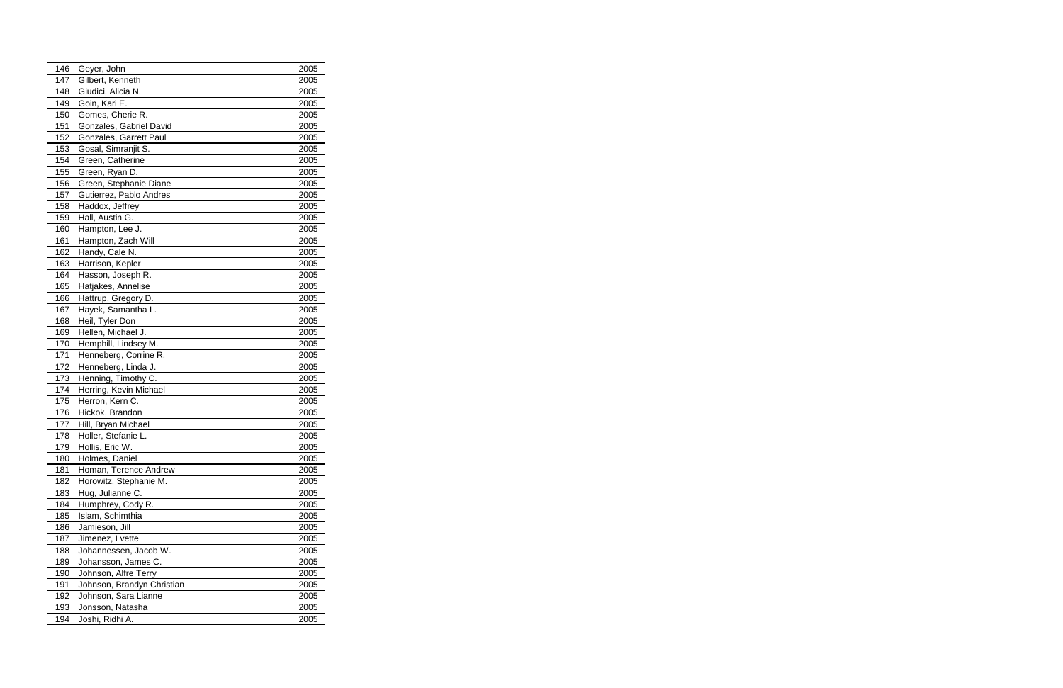| 146 | Geyer, John                | 2005 |
|-----|----------------------------|------|
| 147 | Gilbert, Kenneth           | 2005 |
| 148 | Giudici, Alicia N.         | 2005 |
| 149 | Goin, Kari E.              | 2005 |
| 150 | Gomes, Cherie R.           | 2005 |
| 151 | Gonzales, Gabriel David    | 2005 |
| 152 | Gonzales, Garrett Paul     | 2005 |
| 153 | Gosal, Simranjit S.        | 2005 |
| 154 | Green, Catherine           | 2005 |
| 155 | Green, Ryan D.             | 2005 |
| 156 | Green, Stephanie Diane     | 2005 |
| 157 | Gutierrez, Pablo Andres    | 2005 |
| 158 | Haddox, Jeffrey            | 2005 |
| 159 | Hall, Austin G.            | 2005 |
| 160 | Hampton, Lee J.            | 2005 |
| 161 | Hampton, Zach Will         | 2005 |
| 162 | Handy, Cale N.             | 2005 |
| 163 | Harrison, Kepler           | 2005 |
| 164 | Hasson, Joseph R.          | 2005 |
| 165 | Hatjakes, Annelise         | 2005 |
| 166 | Hattrup, Gregory D.        | 2005 |
| 167 | Hayek, Samantha L.         | 2005 |
| 168 | Heil, Tyler Don            | 2005 |
| 169 | Hellen, Michael J.         | 2005 |
| 170 | Hemphill, Lindsey M.       | 2005 |
| 171 | Henneberg, Corrine R.      | 2005 |
| 172 | Henneberg, Linda J.        | 2005 |
| 173 | Henning, Timothy C.        | 2005 |
| 174 | Herring, Kevin Michael     | 2005 |
| 175 | Herron, Kern C.            | 2005 |
| 176 | Hickok, Brandon            | 2005 |
| 177 | Hill, Bryan Michael        | 2005 |
| 178 | Holler, Stefanie L.        | 2005 |
| 179 | Hollis, Eric W.            | 2005 |
| 180 | Holmes, Daniel             | 2005 |
| 181 | Homan, Terence Andrew      | 2005 |
| 182 | Horowitz, Stephanie M.     | 2005 |
| 183 | Hug, Julianne C.           | 2005 |
| 184 | Humphrey, Cody R.          | 2005 |
| 185 | Islam, Schimthia           | 2005 |
| 186 | Jamieson, Jill             | 2005 |
| 187 | Jimenez, Lvette            | 2005 |
| 188 | Johannessen, Jacob W.      | 2005 |
| 189 | Johansson, James C.        | 2005 |
| 190 | Johnson, Alfre Terry       | 2005 |
| 191 | Johnson, Brandyn Christian | 2005 |
| 192 | Johnson, Sara Lianne       | 2005 |
| 193 | Jonsson, Natasha           | 2005 |
| 194 | Joshi, Ridhi A.            | 2005 |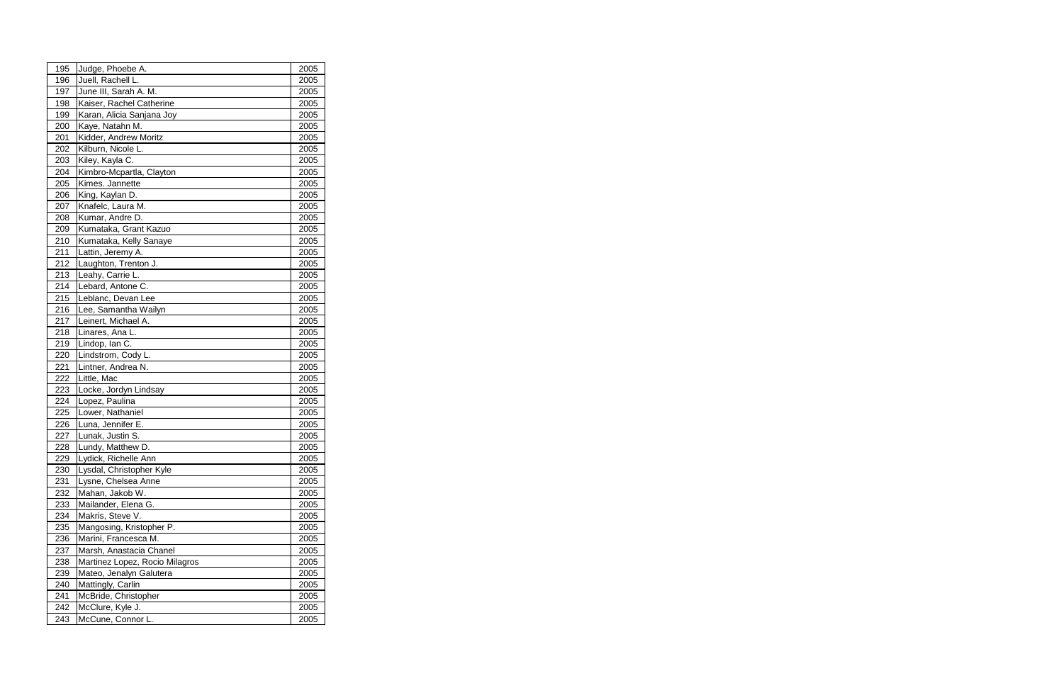| 195 | Judge, Phoebe A.               | 2005 |
|-----|--------------------------------|------|
| 196 | Juell, Rachell L.              | 2005 |
| 197 | June III, Sarah A. M.          | 2005 |
| 198 | Kaiser, Rachel Catherine       | 2005 |
| 199 | Karan, Alicia Sanjana Joy      | 2005 |
| 200 | Kaye, Natahn M.                | 2005 |
| 201 | Kidder, Andrew Moritz          | 2005 |
| 202 | Kilburn, Nicole L.             | 2005 |
| 203 | Kiley, Kayla C.                | 2005 |
| 204 | Kimbro-Mcpartla, Clayton       | 2005 |
| 205 | Kimes. Jannette                | 2005 |
| 206 | King, Kaylan D.                | 2005 |
| 207 | Knafelc, Laura M.              | 2005 |
| 208 | Kumar, Andre D.                | 2005 |
| 209 | Kumataka, Grant Kazuo          | 2005 |
| 210 | Kumataka, Kelly Sanaye         | 2005 |
| 211 | Lattin, Jeremy A.              | 2005 |
| 212 | Laughton, Trenton J.           | 2005 |
| 213 | Leahy, Carrie L.               | 2005 |
| 214 | Lebard, Antone C.              | 2005 |
| 215 | Leblanc, Devan Lee             | 2005 |
| 216 | Lee, Samantha Wailyn           | 2005 |
| 217 | Leinert, Michael A.            | 2005 |
| 218 | Linares, Ana L.                | 2005 |
| 219 | Lindop, Ian C.                 | 2005 |
| 220 | Lindstrom, Cody L.             | 2005 |
| 221 | Lintner, Andrea N.             | 2005 |
| 222 | Little, Mac                    | 2005 |
| 223 | Locke, Jordyn Lindsay          | 2005 |
| 224 | Lopez, Paulina                 | 2005 |
| 225 | Lower, Nathaniel               | 2005 |
| 226 | Luna, Jennifer E.              | 2005 |
| 227 | Lunak, Justin S.               | 2005 |
| 228 | Lundy, Matthew D.              | 2005 |
| 229 | Lydick, Richelle Ann           | 2005 |
| 230 | Lysdal, Christopher Kyle       | 2005 |
| 231 | Lysne, Chelsea Anne            | 2005 |
| 232 | Mahan, Jakob W.                | 2005 |
| 233 | Mailander, Elena G.            | 2005 |
| 234 | Makris, Steve V.               | 2005 |
| 235 | Mangosing, Kristopher P.       | 2005 |
| 236 | Marini, Francesca M.           | 2005 |
| 237 | Marsh, Anastacia Chanel        | 2005 |
| 238 | Martinez Lopez, Rocio Milagros | 2005 |
| 239 | Mateo, Jenalyn Galutera        | 2005 |
| 240 | Mattingly, Carlin              | 2005 |
| 241 | McBride, Christopher           | 2005 |
| 242 | McClure, Kyle J.               | 2005 |
| 243 | McCune, Connor L.              | 2005 |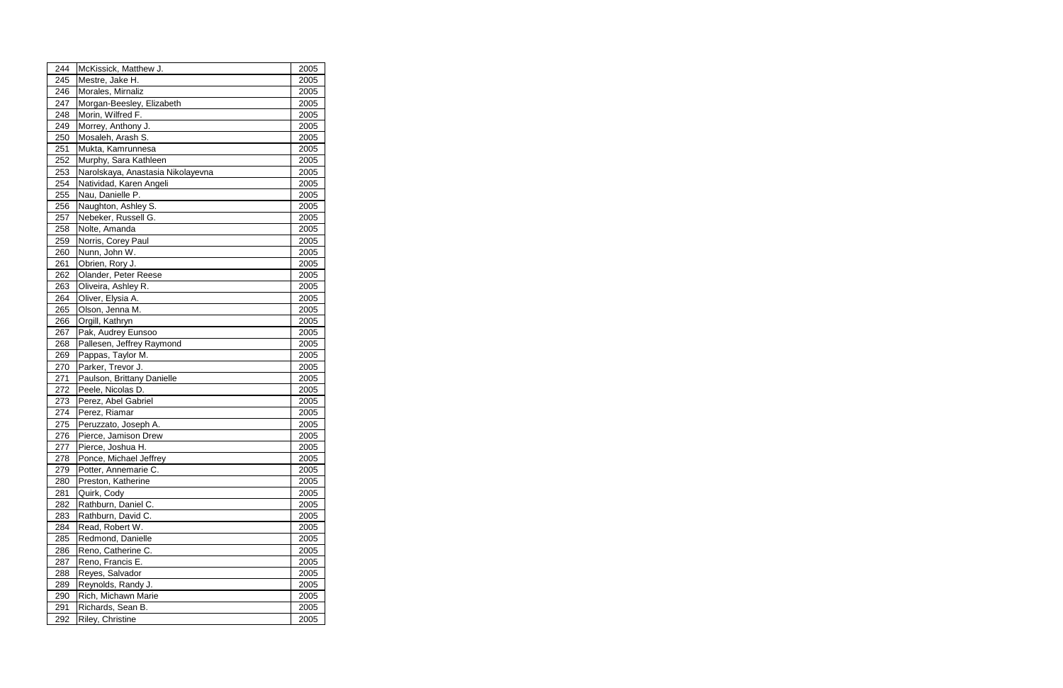| 244 | McKissick, Matthew J.             | 2005 |  |
|-----|-----------------------------------|------|--|
| 245 | Mestre, Jake H.                   | 2005 |  |
| 246 | Morales, Mirnaliz                 | 2005 |  |
| 247 | Morgan-Beesley, Elizabeth         | 2005 |  |
| 248 | Morin, Wilfred F.                 | 2005 |  |
| 249 | Morrey, Anthony J.                | 2005 |  |
| 250 | Mosaleh, Arash S.                 | 2005 |  |
| 251 | Mukta, Kamrunnesa                 | 2005 |  |
| 252 | Murphy, Sara Kathleen             | 2005 |  |
| 253 | Narolskaya, Anastasia Nikolayevna | 2005 |  |
| 254 | Natividad, Karen Angeli           | 2005 |  |
| 255 | Nau, Danielle P.                  | 2005 |  |
| 256 | Naughton, Ashley S.               | 2005 |  |
| 257 | Nebeker, Russell G.               | 2005 |  |
| 258 | Nolte, Amanda                     | 2005 |  |
| 259 | Norris, Corey Paul                | 2005 |  |
| 260 | Nunn, John W.                     | 2005 |  |
| 261 | Obrien, Rory J.                   | 2005 |  |
| 262 | Olander, Peter Reese              | 2005 |  |
| 263 | Oliveira, Ashley R.               | 2005 |  |
| 264 | Oliver, Elysia A.                 | 2005 |  |
| 265 | Olson, Jenna M.                   | 2005 |  |
| 266 | Orgill, Kathryn                   | 2005 |  |
| 267 | Pak, Audrey Eunsoo                | 2005 |  |
| 268 | Pallesen, Jeffrey Raymond         | 2005 |  |
| 269 | Pappas, Taylor M.                 | 2005 |  |
| 270 | Parker, Trevor J.                 | 2005 |  |
| 271 | Paulson, Brittany Danielle        | 2005 |  |
| 272 | Peele, Nicolas D.                 | 2005 |  |
| 273 | Perez, Abel Gabriel               | 2005 |  |
| 274 | Perez, Riamar                     | 2005 |  |
| 275 | Peruzzato, Joseph A.              | 2005 |  |
| 276 | Pierce, Jamison Drew              | 2005 |  |
| 277 | Pierce, Joshua H.                 | 2005 |  |
| 278 | Ponce, Michael Jeffrey            | 2005 |  |
| 279 | Potter, Annemarie C.              | 2005 |  |
| 280 | Preston, Katherine                | 2005 |  |
| 281 | Quirk, Cody                       | 2005 |  |
| 282 | Rathburn, Daniel C.               | 2005 |  |
| 283 | Rathburn, David C.                | 2005 |  |
| 284 | Read, Robert W.                   | 2005 |  |
| 285 | Redmond, Danielle                 | 2005 |  |
| 286 | Reno, Catherine C.                | 2005 |  |
| 287 | Reno, Francis E.                  | 2005 |  |
| 288 | Reyes, Salvador                   | 2005 |  |
| 289 | Reynolds, Randy J.                | 2005 |  |
| 290 | Rich, Michawn Marie               | 2005 |  |
| 291 | Richards, Sean B.                 | 2005 |  |
| 292 | Riley, Christine                  | 2005 |  |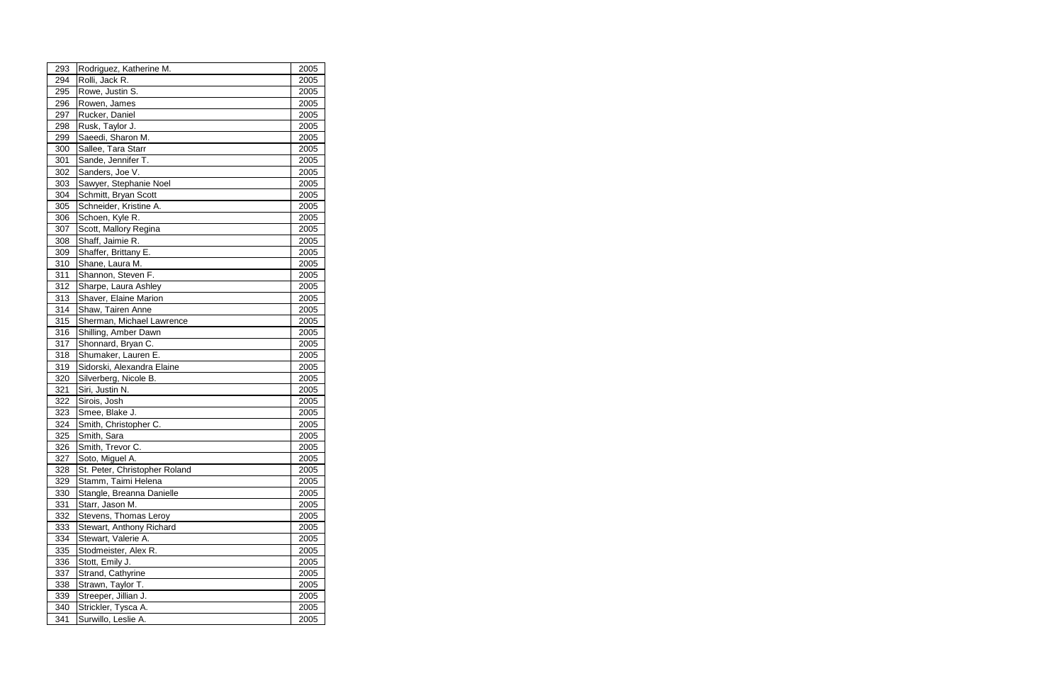| 293 | Rodriguez, Katherine M.       | 2005 |
|-----|-------------------------------|------|
| 294 | Rolli, Jack R.                | 2005 |
| 295 | Rowe, Justin S.               | 2005 |
| 296 | Rowen, James                  | 2005 |
| 297 | Rucker, Daniel                | 2005 |
| 298 | Rusk, Taylor J.               | 2005 |
| 299 | Saeedi, Sharon M.             | 2005 |
| 300 | Sallee, Tara Starr            | 2005 |
| 301 | Sande, Jennifer T.            | 2005 |
| 302 | Sanders, Joe V.               | 2005 |
| 303 | Sawyer, Stephanie Noel        | 2005 |
| 304 | Schmitt, Bryan Scott          | 2005 |
| 305 | Schneider, Kristine A.        | 2005 |
| 306 | Schoen, Kyle R.               | 2005 |
| 307 | Scott, Mallory Regina         | 2005 |
| 308 | Shaff, Jaimie R.              | 2005 |
| 309 | Shaffer, Brittany E.          | 2005 |
| 310 | Shane, Laura M.               | 2005 |
| 311 | Shannon, Steven F.            | 2005 |
| 312 | Sharpe, Laura Ashley          | 2005 |
| 313 | Shaver, Elaine Marion         | 2005 |
| 314 | Shaw, Tairen Anne             | 2005 |
| 315 | Sherman, Michael Lawrence     | 2005 |
| 316 | Shilling, Amber Dawn          | 2005 |
| 317 | Shonnard, Bryan C.            | 2005 |
| 318 | Shumaker, Lauren E.           | 2005 |
| 319 | Sidorski, Alexandra Elaine    | 2005 |
| 320 | Silverberg, Nicole B.         | 2005 |
| 321 | Siri, Justin N.               | 2005 |
| 322 | Sirois, Josh                  | 2005 |
| 323 | Smee, Blake J.                | 2005 |
| 324 | Smith, Christopher C.         | 2005 |
| 325 | Smith, Sara                   | 2005 |
| 326 | Smith, Trevor C.              | 2005 |
| 327 | Soto, Miguel A.               | 2005 |
| 328 | St. Peter, Christopher Roland | 2005 |
| 329 | Stamm, Taimi Helena           | 2005 |
| 330 | Stangle, Breanna Danielle     | 2005 |
| 331 | Starr, Jason M.               | 2005 |
| 332 | Stevens, Thomas Leroy         | 2005 |
| 333 | Stewart, Anthony Richard      | 2005 |
| 334 | Stewart, Valerie A.           | 2005 |
| 335 | Stodmeister, Alex R.          | 2005 |
| 336 | Stott, Emily J.               | 2005 |
| 337 | Strand, Cathyrine             | 2005 |
| 338 | Strawn, Taylor T.             | 2005 |
| 339 | Streeper, Jillian J.          | 2005 |
| 340 | Strickler, Tysca A.           | 2005 |
| 341 | Surwillo, Leslie A.           | 2005 |